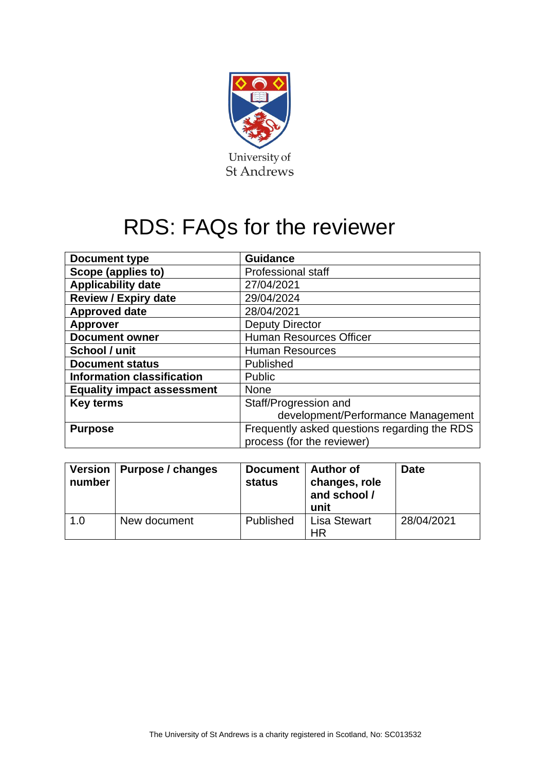

## RDS: FAQs for the reviewer

| Document type                     | <b>Guidance</b>                                                            |  |  |
|-----------------------------------|----------------------------------------------------------------------------|--|--|
| Scope (applies to)                | <b>Professional staff</b>                                                  |  |  |
| <b>Applicability date</b>         | 27/04/2021                                                                 |  |  |
| <b>Review / Expiry date</b>       | 29/04/2024                                                                 |  |  |
| <b>Approved date</b>              | 28/04/2021                                                                 |  |  |
| <b>Approver</b>                   | <b>Deputy Director</b>                                                     |  |  |
| <b>Document owner</b>             | <b>Human Resources Officer</b>                                             |  |  |
| School / unit                     | <b>Human Resources</b>                                                     |  |  |
| <b>Document status</b>            | Published                                                                  |  |  |
| <b>Information classification</b> | <b>Public</b>                                                              |  |  |
| <b>Equality impact assessment</b> | <b>None</b>                                                                |  |  |
| <b>Key terms</b>                  | Staff/Progression and                                                      |  |  |
|                                   | development/Performance Management                                         |  |  |
| <b>Purpose</b>                    | Frequently asked questions regarding the RDS<br>process (for the reviewer) |  |  |

| number | Version   Purpose / changes | Document   Author of<br>status | changes, role<br>and school /<br>unit | <b>Date</b> |
|--------|-----------------------------|--------------------------------|---------------------------------------|-------------|
| 1.0    | New document                | Published                      | <b>Lisa Stewart</b><br>ΗR             | 28/04/2021  |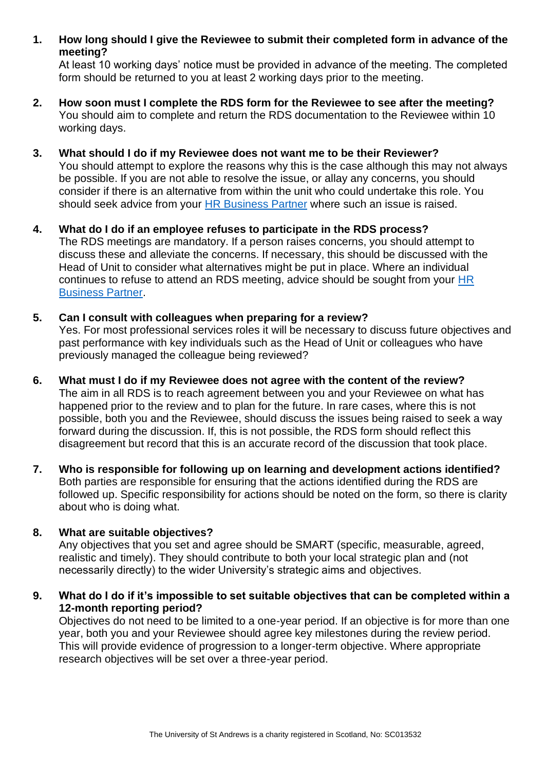**1. How long should I give the Reviewee to submit their completed form in advance of the meeting?**

At least 10 working days' notice must be provided in advance of the meeting. The completed form should be returned to you at least 2 working days prior to the meeting.

- **2. How soon must I complete the RDS form for the Reviewee to see after the meeting?**  You should aim to complete and return the RDS documentation to the Reviewee within 10 working days.
- **3. What should I do if my Reviewee does not want me to be their Reviewer?**

You should attempt to explore the reasons why this is the case although this may not always be possible. If you are not able to resolve the issue, or allay any concerns, you should consider if there is an alternative from within the unit who could undertake this role. You should seek advice from your [HR Business Partner](https://www.st-andrews.ac.uk/hr/businesspartner/) where such an issue is raised.

- **4. What do I do if an employee refuses to participate in the RDS process?**  The RDS meetings are mandatory. If a person raises concerns, you should attempt to discuss these and alleviate the concerns. If necessary, this should be discussed with the Head of Unit to consider what alternatives might be put in place. Where an individual continues to refuse to attend an RDS meeting, advice should be sought from your [HR](https://www.st-andrews.ac.uk/hr/businesspartner/)  [Business Partner.](https://www.st-andrews.ac.uk/hr/businesspartner/)
- **5. Can I consult with colleagues when preparing for a review?**

Yes. For most professional services roles it will be necessary to discuss future objectives and past performance with key individuals such as the Head of Unit or colleagues who have previously managed the colleague being reviewed?

- **6. What must I do if my Reviewee does not agree with the content of the review?**  The aim in all RDS is to reach agreement between you and your Reviewee on what has happened prior to the review and to plan for the future. In rare cases, where this is not possible, both you and the Reviewee, should discuss the issues being raised to seek a way forward during the discussion. If, this is not possible, the RDS form should reflect this disagreement but record that this is an accurate record of the discussion that took place.
- **7. Who is responsible for following up on learning and development actions identified?**  Both parties are responsible for ensuring that the actions identified during the RDS are followed up. Specific responsibility for actions should be noted on the form, so there is clarity about who is doing what.

## **8. What are suitable objectives?**

Any objectives that you set and agree should be SMART (specific, measurable, agreed, realistic and timely). They should contribute to both your local strategic plan and (not necessarily directly) to the wider University's strategic aims and objectives.

**9. What do I do if it's impossible to set suitable objectives that can be completed within a 12-month reporting period?** 

Objectives do not need to be limited to a one-year period. If an objective is for more than one year, both you and your Reviewee should agree key milestones during the review period. This will provide evidence of progression to a longer-term objective. Where appropriate research objectives will be set over a three-year period.